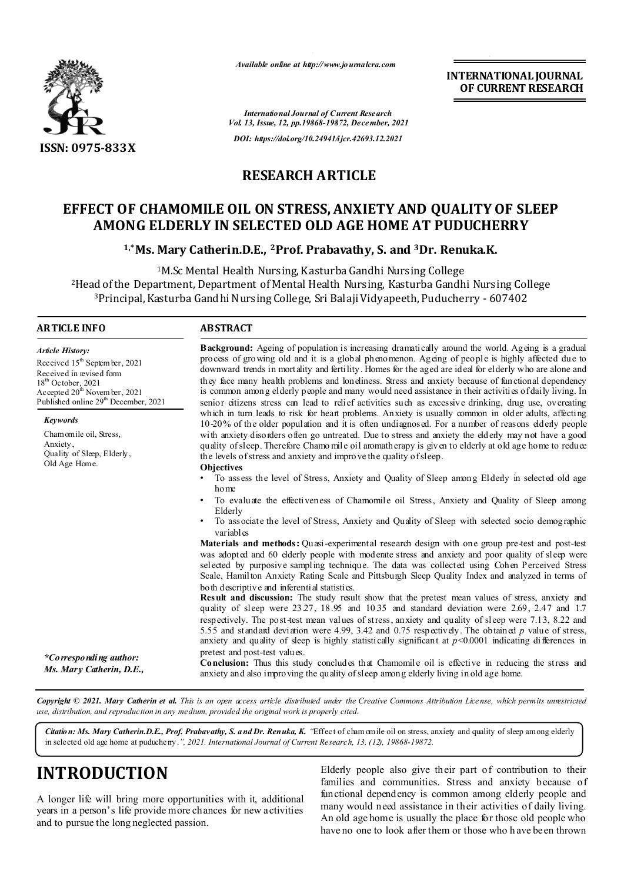

*Available online at http://www.journalcra.com*

*International Journal of Current Research Vol. 13, Issue, 12, pp.19868-19872, December, 2021 DOI: https://doi.org/10.24941/ijcr.42693.12.2021*

**INTERNATIONAL JOURNAL OF CURRENT RESEARCH**

### **RESEARCH ARTICLE**

### **EFFECT OF CHAMOMILE OIL ON STRESS, ANXIETY AND QUALITY OF SLEEP AMONG ELDERLY IN SELECTED OLD AGE HOME AT PUDUCHERRY**

**1,\*Ms. Mary Catherin.D.E., 2Prof. Prabavathy, S. and 3Dr. Renuka.K.**

1M.Sc Mental Health Nursing, Kasturba Gandhi Nursing College 2Head of the Department, Department of Mental Health Nursing, Kasturba Gandhi Nursing College 3Principal, Kasturba Gandhi Nursing College, Sri Balaji Vidyapeeth, Puducherry - 607402

#### **ARTICLE INFO ABSTRACT**

**Background:** Ageing of population is increasing dramatically around the world. Ageing is a gradual process of growing old and it is a global phenomenon. Ageing of people is highly affected due to downward trends in mortality and fertility. Homes for the aged are ideal for elderly who are alone and they face many health problems and loneliness. Stress and anxiety because of functional dependency is common among elderly people and many would need assistance in their activities of daily living. In senior citizens stress can lead to relief activities such as excessive drinking, drug use, overeating which in turn leads to risk for heart problems. Anxiety is usually common in older adults, affecting 10-20% of the older population and it is often undiagnosed. For a number of reasons elderly people with anxiety disorders often go untreated. Due to stress and anxiety the elderly may not have a good quality of sleep. Therefore Chamo mile oil aromatherapy is given to elderly at old age home to reduce the levels of stress and anxiety and improve the quality of sleep. **Objectives** • To assess the level of Stress, Anxiety and Quality of Sleep among Elderly in selected old age home • To evaluate the effectiveness of Chamomile oil Stress, Anxiety and Quality of Sleep among Elderly • To associate the level of Stress, Anxiety and Quality of Sleep with selected socio demographic variables **Materials and methods:** Quasi-experimental research design with one group pre-test and post-test was adopted and 60 elderly people with moderate stress and anxiety and poor quality of sleep were selected by purposive sampling technique. The data was collected using Cohen Perceived Stress Scale, Hamilton Anxiety Rating Scale and Pittsburgh Sleep Quality Index and analyzed in terms of both descriptive and inferential statistics. **Result and discussion:** The study result show that the pretest mean values of stress, anxiety and quality of sleep were 23.27, 18.95 and 10.35 and standard deviation were 2.69, 2.47 and 1.7 respectively. The post-test mean values of stress, anxiety and quality of sleep were 7.13, 8.22 and 5.55 and standard deviation were 4.99, 3.42 and 0.75 respectively. The obtained *p* value of stress, anxiety and quality of sleep is highly statistically significant at  $p < 0.0001$  indicating differences in pretest and post-test values. **Conclusion:** Thus this study concludes that Chamomile oil is effective in reducing the stress and anxiety and also improving the quality of sleep among elderly living in old age home. *Article History: Article History:* Received 15<sup>th</sup> Septem ber, 2021 Received in revised form Received in revised form Received in revised form  $18<sup>th</sup>$  October, 2021 Ac cepted  $20^{\text{th}}$  Novem ber, 2021 Published online 29<sup>th</sup> December, 2021 *Keywords* Chamomile oil, Stress, Anxiety , Quality of Sleep, Elderly, Old Age Home. *\*Corresponding author: Ms. Mary Catherin, D.E.,*

Copyright © 2021. Mary Catherin et al. This is an open access article distributed under the Creative Commons Attribution License, which permits unrestricted *use, distribution, and reproduction in any medium, provided the original work is properly cited.*

*Citation: Ms. Mary Catherin.D.E., Prof. Prabavathy, S. and Dr. Renuka, K. "*Effect of cham omile oil on stress, anxiety and quality of sleep among elderly in selected old age home at puducherry.*", 2021. International Journal of Current Research, 13, (12), 19868-19872.*

# **INTRODUCTION**

A longer life will bring more opportunities with it, additional years in a person's life provide more chances for new activities and to pursue the long neglected passion.

Elderly people also give their part of contribution to their families and communities. Stress and anxiety because of functional dependency is common among elderly people and many would need assistance in their activities of daily living. An old age home is usually the place for those old people who have no one to look after them or those who h ave been thrown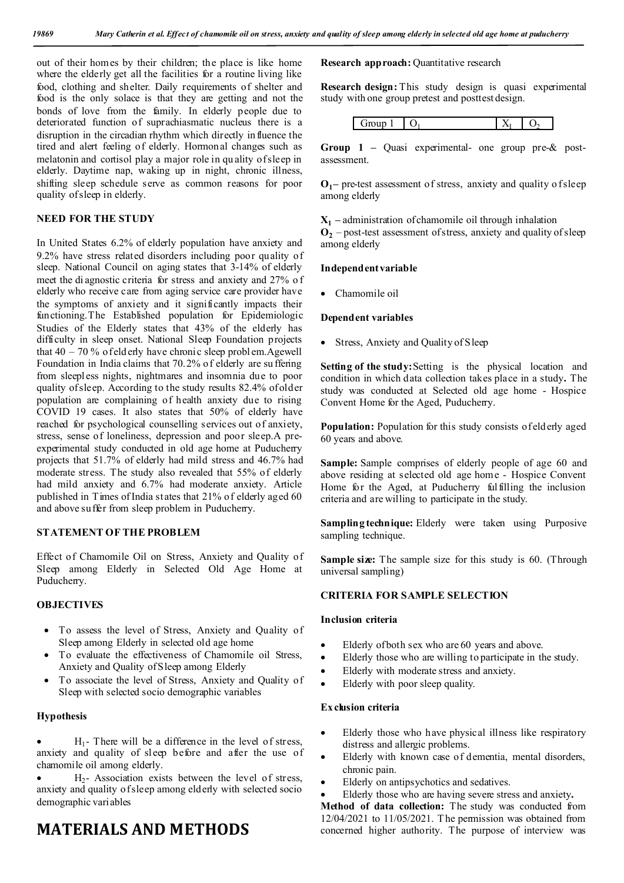out of their homes by their children; the place is like home where the elderly get all the facilities for a routine living like food, clothing and shelter. Daily requirements of shelter and food is the only solace is that they are getting and not the bonds of love from the family. In elderly people due to deteriorated function of suprachiasmatic nucleus there is a disruption in the circadian rhythm which directly influence the tired and alert feeling of elderly. Hormonal changes such as melatonin and cortisol play a major role in qu ality of sleep in elderly. Daytime nap, waking up in night, chronic illness, shifting sleep schedule serve as common reasons for poor quality of sleep in elderly.

### **NEED FOR THE STUDY**

In United States 6.2% of elderly population have anxiety and 9.2% have stress related disorders including poor quality of sleep. National Council on aging states that 3-14% of elderly meet the di agnostic criteria for stress and anxiety and 27% o f elderly who receive care from aging service care provider have the symptoms of anxiety and it significantly impacts their functioning.The Established population for Epidemiologic Studies of the Elderly states that 43% of the elderly has difficulty in sleep onset. National Sleep Foundation projects that 40 – 70 % of eld erly have chronic sleep probl em.Agewell Foundation in India claims that 70.2% of elderly are su ffering from sleepless nights, nightmares and insomnia due to poor quality of sleep. According to the study results 82.4% of older population are complaining of health anxiety due to rising COVID 19 cases. It also states that 50% of elderly have reached for psychological counselling services out of anxiety, stress, sense of loneliness, depression and poor sleep.A preexperimental study conducted in old age home at Puducherry projects that 51.7% of elderly had mild stress and 46.7% had moderate stress. The study also revealed that 55% of elderly had mild anxiety and 6.7% had moderate anxiety. Article published in Times of India states that 21% of elderly aged 60 and above suffer from sleep problem in Puducherry.

#### **STATEMENT OF THE PROBLEM**

Effect of Chamomile Oil on Stress, Anxiety and Quality of Sleep among Elderly in Selected Old Age Home at Puducherry.

#### **OBJECTIVES**

- To assess the level of Stress, Anxiety and Quality of Sleep among Elderly in selected old age home
- To evaluate the effectiveness of Chamomile oil Stress, Anxiety and Quality of Sleep among Elderly
- To associate the level of Stress, Anxiety and Quality of Sleep with selected socio demographic variables

#### **Hypothesis**

 $H_1$ - There will be a difference in the level of stress, anxiety and quality of sleep before and after the use of chamomile oil among elderly.

 $H<sub>2</sub>$ - Association exists between the level of stress, anxiety and quality of sleep among elderly with selected socio demographic variables

### **MATERIALS AND METHODS**

**Research approach:** Quantitative research

**Research design:** This study design is quasi experimental study with one group pretest and posttest design.

|--|

**Group 1 –** Quasi experimental- one group pre-& postassessment.

**O1–** pre-test assessment of stress, anxiety and quality o f sleep among elderly

 $X_1$  – administration of chamomile oil through inhalation

 $\mathbf{O}_2$  – post-test assessment of stress, anxiety and quality of sleep among elderly

#### **Independent variable**

Chamomile oil

#### **Dependent variables**

• Stress, Anxiety and Quality of Sleep

**Setting of the study: Setting is the physical location and** condition in which data collection takes place in a study**.** The study was conducted at Selected old age home - Hospice Convent Home for the Aged, Puducherry.

**Population:** Population for this study consists of eld erly aged 60 years and above.

Sample: Sample comprises of elderly people of age 60 and above residing at selected old age home - Hospice Convent Home for the Aged, at Puducherry fulfilling the inclusion criteria and are willing to participate in the study.

**Sampling technique:** Elderly were taken using Purposive sampling technique.

**Sample size:** The sample size for this study is 60. (Through universal sampling)

#### **CRITERIA FOR SAMPLE SELECTION**

#### **Inclusion criteria**

- Elderly of both sex who are 60 years and above.
- Elderly those who are willing to participate in the study.
- Elderly with moderate stress and anxiety.
- Elderly with poor sleep quality.

#### **Ex clusion criteria**

- Elderly those who have physical illness like respiratory distress and allergic problems.
- Elderly with known case of dementia, mental disorders, chronic pain.
- Elderly on antipsychotics and sedatives.
- Elderly those who are having severe stress and anxiety**.**

Method of data collection: The study was conducted from 12/04/2021 to 11/05/2021. T he permission was obtained from concerned higher authority. The purpose of interview was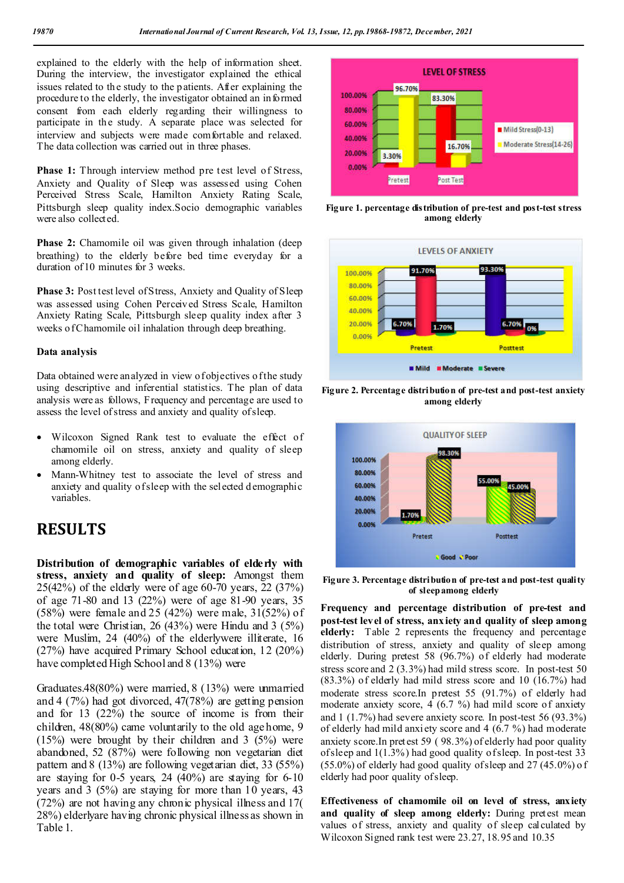explained to the elderly with the help of information sheet. During the interview, the investigator explained the ethical issues related to the study to the patients. After explaining the procedure to the elderly, the investigator obtained an informed consent from each elderly regarding their willingness to participate in the study. A separate place was selected for interview and subjects were made comfortable and relaxed. The data collection was carried out in three phases.

**Phase 1:** Through interview method pre test level of Stress, Anxiety and Quality of Sleep was assessed using Cohen Perceived Stress Scale, Hamilton Anxiety Rating Scale, Pittsburgh sleep quality index.Socio demographic variables were also collected.

**Phase 2:** Chamomile oil was given through inhalation (deep) breathing) to the elderly before bed time everyday for a duration of 10 minutes for 3 weeks.

Phase 3: Post test level of Stress, Anxiety and Quality of Sleep was assessed using Cohen Perceived Stress Scale, Hamilton Anxiety Rating Scale, Pittsburgh sleep quality index after 3 weeks of Chamomile oil inhalation through deep breathing.

#### **Data analysis**

Data obtained were analyzed in view of objectives of the study using descriptive and inferential statistics. The plan of data analysis were as follows, Frequency and percentage are used to assess the level of stress and anxiety and quality of sleep.

- Wilcoxon Signed Rank test to evaluate the effect of chamomile oil on stress, anxiety and quality of sleep among elderly.
- Mann-Whitney test to associate the level of stress and anxiety and quality of sleep with the selected d emographic variables.

### **RESULTS**

**Distribution of demographic variables of elderly with stress, anxiety and quality of sleep:** Amongst them 25(42%) of the elderly were of age 60-70 years, 22 (37%) of age 71-80 and 13 (22%) were of age 81-90 years, 35 (58%) were female and 25 (42%) were male, 31(52%) of the total were Christian, 26 (43%) were Hindu and 3 (5%) were Muslim, 24 (40%) of the elderlywere illiterate, 16 (27%) have acquired Primary School education, 12 (20%) have completed High School and 8 (13%) were

Graduates.48(80%) were married, 8 (13%) were unmarried and 4 (7%) had got divorced, 47(78%) are getting pension and for 13 (22%) the source of income is from their children, 48(80%) came voluntarily to the old age home, 9 (15%) were brought by their children and 3 (5%) were abandoned, 52 (87%) were following non vegetarian diet pattern and 8 (13%) are following vegetarian diet, 33 (55%) are staying for  $0-5$  years,  $24$  (40%) are staying for  $6-10$ years and 3 (5%) are staying for more than 10 years, 43 (72%) are not having any chronic physical illness and 17( 28%) elderlyare having chronic physical illness as shown in Table 1.



**Figure 1. percentage distribution of pre-test and post-test stress among elderly**







**Figure 3. Percentage distribution of pre-test and post-test quality of sleep among elderly**

**Frequency and percentage distribution of pre-test and post-test level of stress, anx iety and quality of sleep among elderly:** Table 2 represents the frequency and percentage distribution of stress, anxiety and quality of sleep among elderly. During pretest 58 (96.7%) of elderly had moderate stress score and 2 (3.3%) had mild stress score. In post-test 50 (83.3%) of elderly had mild stress score and 10 (16.7%) had moderate stress score.In pretest 55 (91.7%) of elderly had moderate anxiety score,  $\overline{4}$  (6.7 %) had mild score of anxiety and 1 (1.7%) had severe anxiety score. In post-test 56 (93.3%) of elderly had mild anxi ety score and 4 (6.7 %) had moderate anxiety score.In pretest 59 ( 98.3%) of elderly had poor quality of sleep and 1(1.3%) had good quality of sleep. In post-test 33  $(55.0\%)$  of elderly had good quality of sleep and 27 (45.0%) of elderly had poor quality of sleep.

**Effectiveness of chamomile oil on level of stress, anxiety**  and quality of sleep among elderly: During pretest mean values of stress, anxiety and quality of sleep calculated by Wilcoxon Signed rank test were 23.27, 18.95 and 10.35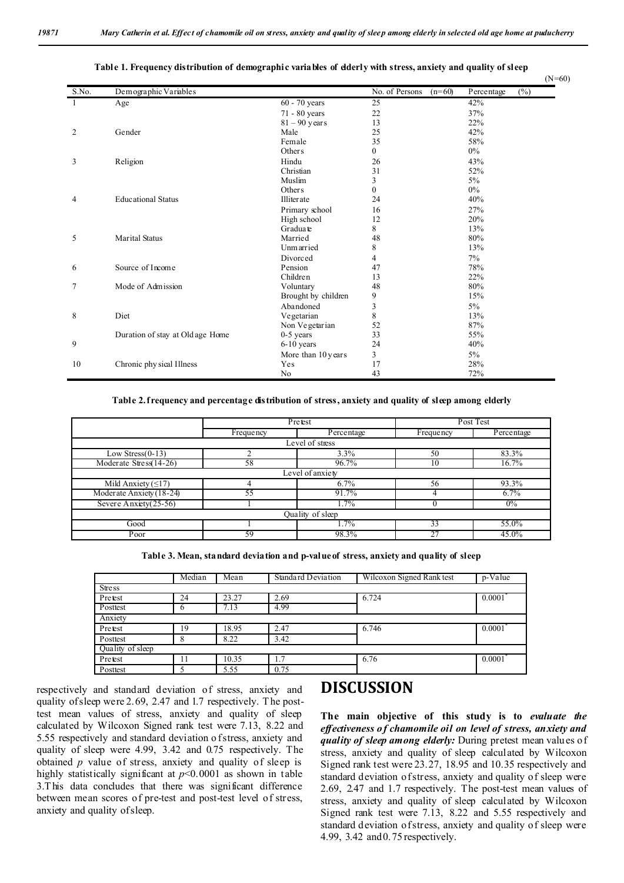|                |                                  |                     |                            | $(N=60)$             |
|----------------|----------------------------------|---------------------|----------------------------|----------------------|
| S.No.          | Demographic Variables            |                     | No. of Persons<br>$(n=60)$ | $(\%)$<br>Percentage |
|                | Age                              | 60 - 70 years       | $\overline{25}$            | 42%                  |
|                |                                  | 71 - 80 years       | 22                         | 37%                  |
|                |                                  | $81 - 90$ years     | 13                         | 22%                  |
| $\overline{c}$ | Gender                           | Male                | 25                         | 42%                  |
|                |                                  | Female              | 35                         | 58%                  |
|                |                                  | Others              | $\overline{0}$             | $0\%$                |
| 3              | Religion                         | Hindu               | 26                         | 43%                  |
|                |                                  | Christian           | 31                         | 52%                  |
|                |                                  | Muslim              | 3                          | $5\%$                |
|                |                                  | Others              | $\overline{0}$             | $0\%$                |
| 4              | <b>Educational Status</b>        | Illiterate          | 24                         | 40%                  |
|                |                                  | Primary school      | 16                         | 27%                  |
|                |                                  | High school         | 12                         | 20%                  |
|                |                                  | Graduate            | 8                          | 13%                  |
| 5              | Marital Status                   | Married             | 48                         | 80%                  |
|                |                                  | Unmarried           | 8                          | 13%                  |
|                |                                  | Divorced            | 4                          | $7\%$                |
| 6              | Source of Income                 | Pension             | 47                         | 78%                  |
|                |                                  | Children            | 13                         | 22%                  |
| 7              | Mode of Admission                | Voluntary           | 48                         | 80%                  |
|                |                                  | Brought by children | 9                          | 15%                  |
|                |                                  | Abandoned           | 3                          | $5\%$                |
| 8              | Diet                             | Vegetarian          | 8                          | 13%                  |
|                |                                  | Non Vegetarian      | 52                         | 87%                  |
|                | Duration of stay at Old age Home | $0-5$ years         | 33                         | 55%                  |
| 9              |                                  | $6-10$ years        | 24                         | 40%                  |
|                |                                  | More than 10 years  | 3                          | $5\%$                |
| 10             | Chronic phy sical Illness        | Yes                 | 17                         | 28%                  |
|                |                                  | No                  | 43                         | 72%                  |

#### **Table 1. Frequency distribution of demographic variables of elderly with stress, anxiety and quality of sleep**

#### **Table 2. frequency and percentage distribution of stress, anxiety and quality of sleep among elderly**

|                           | Pretest   |            | Post Test |            |  |  |  |  |
|---------------------------|-----------|------------|-----------|------------|--|--|--|--|
|                           | Frequency | Percentage | Frequency | Percentage |  |  |  |  |
| Level of stress           |           |            |           |            |  |  |  |  |
| Low Stress $(0-13)$       |           | 3.3%       | 50        | 83.3%      |  |  |  |  |
| Moderate Stress $(14-26)$ | 58        | 96.7%      | 10        | 16.7%      |  |  |  |  |
| Level of anxiety          |           |            |           |            |  |  |  |  |
| Mild Anxiety $(≤17)$      |           | 6.7%       | 56        | 93.3%      |  |  |  |  |
| Moderate Anxiety (18-24)  | 55        | 91.7%      |           | 6.7%       |  |  |  |  |
| Severe Anxiety $(25-56)$  |           | 1.7%       |           | 0%         |  |  |  |  |
| Quality of sleep          |           |            |           |            |  |  |  |  |
| Good                      |           | 1.7%       | 33        | 55.0%      |  |  |  |  |
| Poor                      | 59        | 98.3%      | 27        | 45.0%      |  |  |  |  |

**Table 3. Mean, standard deviation and p-value of stress, anxiety and quality of sleep**

|                  | Median | Mean  | <b>Standard Deviation</b> | Wilcoxon Signed Rank test | p-Value |  |  |  |  |
|------------------|--------|-------|---------------------------|---------------------------|---------|--|--|--|--|
| Stress           |        |       |                           |                           |         |  |  |  |  |
| Pretest          | 24     | 23.27 | 2.69                      | 6.724                     | 0.0001  |  |  |  |  |
| Posttest         | o      | 7.13  | 4.99                      |                           |         |  |  |  |  |
| Anxiety          |        |       |                           |                           |         |  |  |  |  |
| Pretest          | 19     | 18.95 | 2.47                      | 6.746                     | 0.0001  |  |  |  |  |
| Posttest         | 8      | 8.22  | 3.42                      |                           |         |  |  |  |  |
| Quality of sleep |        |       |                           |                           |         |  |  |  |  |
| Pretest          | 11     | 10.35 | 1.7                       | 6.76                      | 0.0001  |  |  |  |  |
| Posttest         |        | 5.55  | 0.75                      |                           |         |  |  |  |  |

respectively and standard deviation of stress, anxiety and quality of sleep were 2.69, 2.47 and 1.7 respectively. T he posttest mean values of stress, anxiety and quality of sleep calculated by Wilcoxon Signed rank test were 7.13, 8.22 and 5.55 respectively and standard deviation o f stress, anxiety and quality of sleep were 4.99, 3.42 and 0.75 respectively. The obtained *p* value of stress, anxiety and quality of sleep is highly statistically significant at  $p<0.0001$  as shown in table 3.T his data concludes that there was significant difference between mean scores of pre-test and post-test level of stress, anxiety and quality of sleep.

### **DISCUSSION**

**The main objective of this study is to** *evaluate the effectiveness o f chamomile oil on level of stress, anxiety and quality of sleep among elderly:* During pretest mean valu es of stress, anxiety and quality of sleep calculated by Wilcoxon Signed rank test were 23.27, 18.95 and 10.35 respectively and standard deviation of stress, anxiety and quality of sleep were 2.69, 2.47 and 1.7 respectively. The post-test mean values of stress, anxiety and quality of sleep calculated by Wilcoxon Signed rank test were 7.13, 8.22 and 5.55 respectively and standard deviation of stress, anxiety and quality of sleep were 4.99, 3.42 and 0.75 respectively.